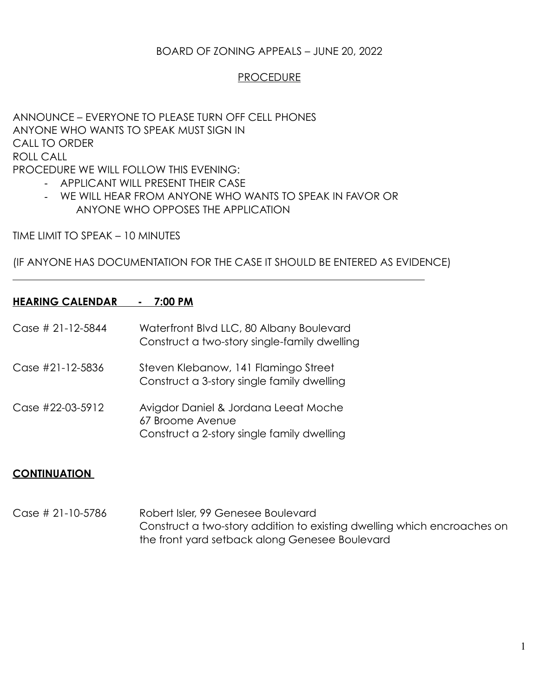# BOARD OF ZONING APPEALS – JUNE 20, 2022

### PROCEDURE

ANNOUNCE – EVERYONE TO PLEASE TURN OFF CELL PHONES ANYONE WHO WANTS TO SPEAK MUST SIGN IN CALL TO ORDER ROLL CALL PROCEDURE WE WILL FOLLOW THIS EVENING:

- APPLICANT WILL PRESENT THEIR CASE
- WE WILL HEAR FROM ANYONE WHO WANTS TO SPEAK IN FAVOR OR ANYONE WHO OPPOSES THE APPLICATION

TIME LIMIT TO SPEAK – 10 MINUTES

(IF ANYONE HAS DOCUMENTATION FOR THE CASE IT SHOULD BE ENTERED AS EVIDENCE)

## **HEARING CALENDAR - 7:00 PM**

- Case # 21-12-5844 Waterfront Blvd LLC, 80 Albany Boulevard Construct a two-story single-family dwelling
- Case #21-12-5836 Steven Klebanow, 141 Flamingo Street Construct a 3-story single family dwelling
- Case #22-03-5912 Avigdor Daniel & Jordana Leeat Moche 67 Broome Avenue Construct a 2-story single family dwelling

#### **CONTINUATION**

 $\overline{a}$ 

Case # 21-10-5786 Robert Isler, 99 Genesee Boulevard Construct a two-story addition to existing dwelling which encroaches on the front yard setback along Genesee Boulevard